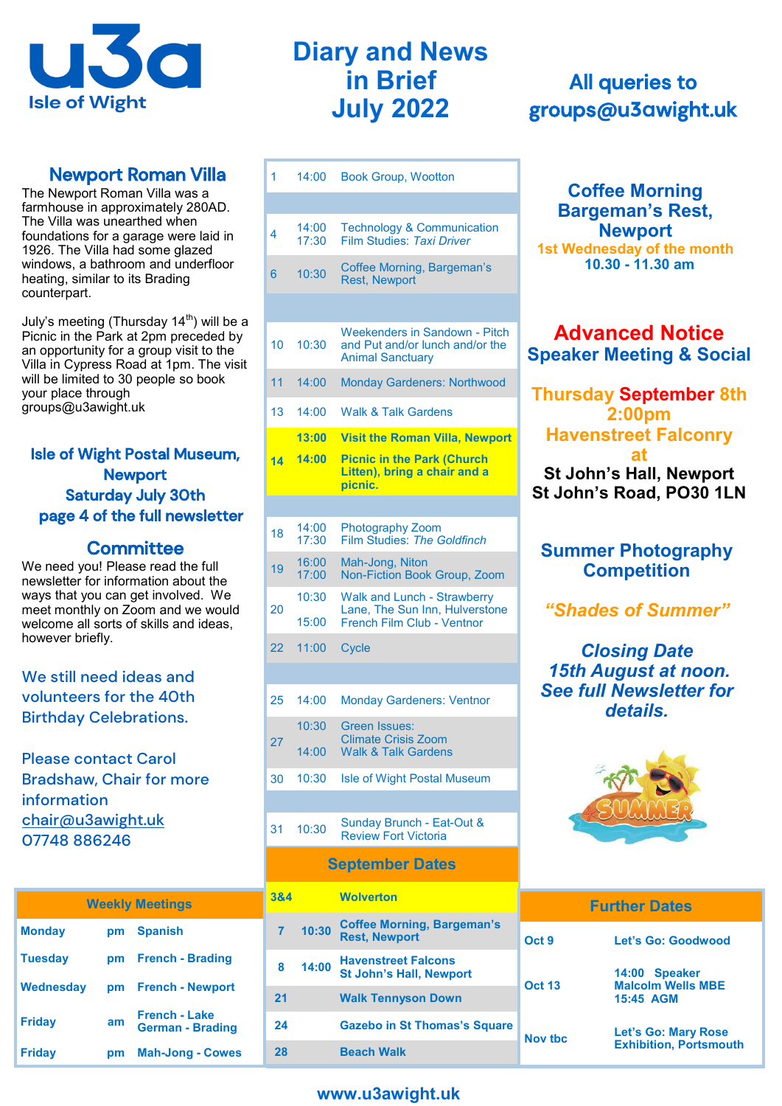

## Newport Roman Villa

The Newport Roman Villa was a farmhouse in approximately 280AD. The Villa was unearthed when foundations for a garage were laid in 1926. The Villa had some glazed windows, a bathroom and underfloor heating, similar to its Brading counterpart.

July's meeting (Thursday  $14<sup>th</sup>$ ) will be a Picnic in the Park at 2pm preceded by an opportunity for a group visit to the Villa in Cypress Road at 1pm. The visit will be limited to 30 people so book your place through groups@u3awight.uk

## Isle of Wight Postal Museum, Newport Saturday July 30th page 4 of the full newsletter

## **Committee**

We need you! Please read the full newsletter for information about the ways that you can get involved. We meet monthly on Zoom and we would welcome all sorts of skills and ideas, however briefly.

## We still need ideas and volunteers for the 40th Birthday Celebrations.

Please contact Carol Bradshaw, Chair for more information chair@u3awight.uk 07748 886246

| <b>Weekly Meetings</b> |    |                                   |  |  |
|------------------------|----|-----------------------------------|--|--|
| <b>Monday</b>          | pm | <b>Spanish</b>                    |  |  |
| <b>Tuesday</b>         |    | pm French - Brading               |  |  |
| Wednesday              |    | pm French - Newport               |  |  |
| <b>Friday</b>          | am | French - Lake<br>German - Brading |  |  |
| <b>Friday</b>          |    | <b>Mah-Jong - Cowes</b>           |  |  |

# **Diary and News in Brief July 2022**

| 1  | 14:00          | <b>Book Group, Wootton</b>                                                                         |
|----|----------------|----------------------------------------------------------------------------------------------------|
|    |                |                                                                                                    |
| 4  | 14:00<br>17:30 | <b>Technology &amp; Communication</b><br>Film Studies: Taxi Driver                                 |
| 6  | 10:30          | Coffee Morning, Bargeman's<br><b>Rest, Newport</b>                                                 |
|    |                |                                                                                                    |
| 10 | 10:30          | <b>Weekenders in Sandown - Pitch</b><br>and Put and/or lunch and/or the<br><b>Animal Sanctuary</b> |
| 11 | 14:00          | <b>Monday Gardeners: Northwood</b>                                                                 |
| 13 | 14:00          | <b>Walk &amp; Talk Gardens</b>                                                                     |
|    | 13:00          | <b>Visit the Roman Villa, Newport</b>                                                              |
| 14 | 14:00          | <b>Picnic in the Park (Church</b><br>Litten), bring a chair and a<br>picnic.                       |
|    |                |                                                                                                    |
| 18 | 14:00<br>17:30 | <b>Photography Zoom</b><br>Film Studies: The Goldfinch                                             |
| 19 | 16:00<br>17:00 | Mah-Jong, Niton<br>Non-Fiction Book Group, Zoom                                                    |
| 20 | 10:30          | <b>Walk and Lunch - Strawberry</b><br>Lane, The Sun Inn, Hulverstone                               |
|    | 15:00          | French Film Club - Ventnor                                                                         |
| 22 | 11:00          | <b>Cycle</b>                                                                                       |
|    |                |                                                                                                    |
| 25 | 14:00          | <b>Monday Gardeners: Ventnor</b>                                                                   |
| 27 | 10:30          | Green Issues:<br><b>Climate Crisis Zoom</b>                                                        |
|    | 14:00          | <b>Walk &amp; Talk Gardens</b>                                                                     |
| 30 | 10:30          | <b>Isle of Wight Postal Museum</b>                                                                 |
|    |                |                                                                                                    |
| 31 | 10:30          | Sunday Brunch - Eat-Out &<br><b>Review Fort Victoria</b>                                           |
|    |                | <b>September Dates</b>                                                                             |
|    |                |                                                                                                    |

| 3&4            |       | <b>Wolverton</b>                                             |                |
|----------------|-------|--------------------------------------------------------------|----------------|
|                | 10:30 | <b>Coffee Morning, Bargeman's</b><br><b>Rest, Newport</b>    | Oct 9          |
| 8              | 14:00 | <b>Havenstreet Falcons</b><br><b>St John's Hall, Newport</b> | <b>Oct 13</b>  |
| 2 <sub>1</sub> |       | <b>Walk Tennyson Down</b>                                    |                |
| 24             |       | <b>Gazebo in St Thomas's Square</b>                          | <b>Nov tbc</b> |
| 28             |       | <b>Beach Walk</b>                                            |                |

# All queries to groups@u**3a**wight.uk

### **Coffee Morning Bargeman's Rest, Newport 1st Wednesday of the month 10.30 - 11.30 am**

## **Advanced Notice Speaker Meeting & Social**

## **Thursday September 8th 2:00pm Havenstreet Falconry at St John's Hall, Newport St John's Road, PO30 1LN**

## **Summer Photography Competition**

# *"Shades of Summer"*

*Closing Date 15th August at noon. See full Newsletter for details.*



|   | <b>Further Dates</b> |                                           |  |
|---|----------------------|-------------------------------------------|--|
|   | Oct 9                | Let's Go: Goodwood                        |  |
|   |                      |                                           |  |
|   | <b>Oct 13</b>        | 14:00 Speaker<br><b>Malcolm Wells MBE</b> |  |
|   |                      | 15:45 AGM                                 |  |
| е | Nov the              | <b>Let's Go: Mary Rose</b>                |  |
|   |                      | <b>Exhibition, Portsmouth</b>             |  |

## **www.u3awight.uk**